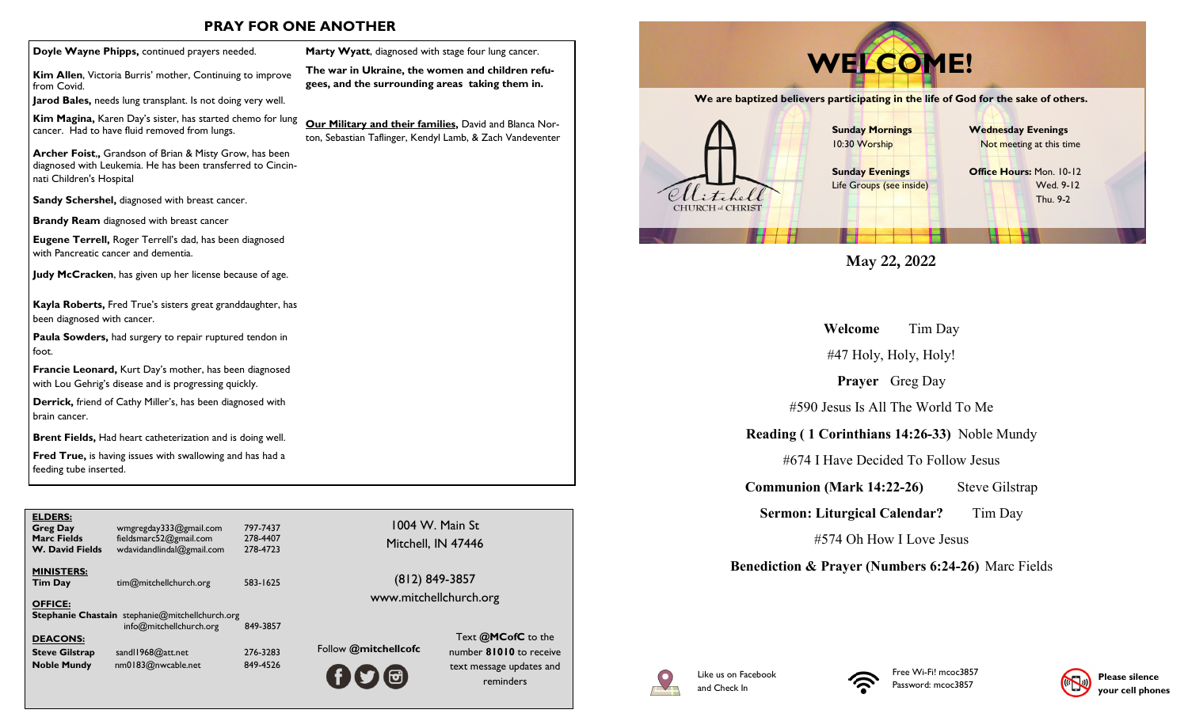## **PRAY FOR ONE ANOTHER**

**Kim Allen**, Victoria Burris' mother, Continuing to improve from Covid.

**Jarod Bales,** needs lung transplant. Is not doing very well.

**Kim Magina,** Karen Day's sister, has started chemo for lung cancer. Had to have fluid removed from lungs.

**Archer Foist**,**,** Grandson of Brian & Misty Grow, has been diagnosed with Leukemia. He has been transferred to Cincinnati Children's Hospital

**Sandy Schershel,** diagnosed with breast cancer.

**Brandy Ream** diagnosed with breast cancer

**Eugene Terrell,** Roger Terrell's dad, has been diagnosed with Pancreatic cancer and dementia.

**Judy McCracken**, has given up her license because of age.

**Kayla Roberts,** Fred True's sisters great granddaughter, has been diagnosed with cancer.

**Paula Sowders,** had surgery to repair ruptured tendon in foot.

**Francie Leonard,** Kurt Day's mother, has been diagnosed with Lou Gehrig's disease and is progressing quickly.

**Derrick,** friend of Cathy Miller's, has been diagnosed with brain cancer.

**Brent Fields,** Had heart catheterization and is doing well.

**Fred True,** is having issues with swallowing and has had a feeding tube inserted.

| <b>ELDERS:</b><br><b>Greg Day</b><br><b>Marc Fields</b><br><b>W. David Fields</b> | wmgregday333@gmail.com<br>fieldsmarc52@gmail.com<br>wdavidandlindal@gmail.com     | 797-7437<br>278-4407<br>278-4723 |     |
|-----------------------------------------------------------------------------------|-----------------------------------------------------------------------------------|----------------------------------|-----|
| <b>MINISTERS:</b><br><b>Tim Day</b>                                               | tim@mitchellchurch.org                                                            | 583-1625                         |     |
| <b>OFFICE:</b>                                                                    | <b>Stephanie Chastain</b> stephanie@mitchellchurch.org<br>info@mitchellchurch.org | 849-3857                         |     |
| <b>DEACONS:</b><br><b>Steve Gilstrap</b><br><b>Noble Mundy</b>                    | sandl1968@att.net<br>nm0183@nwcable.net                                           | 276-3283<br>849-4526             | Fol |

1004 W. Main St Mitchell, IN 47446

**Marty Wyatt**, diagnosed with stage four lung cancer. **The war in Ukraine, the women and children refugees, and the surrounding areas taking them in.**

**Our Military and their families,** David and Blanca Norton, Sebastian Taflinger, Kendyl Lamb, & Zach Vandeventer

> (812) 849-3857 www.mitchellchurch.org

Follow **@mitchellcofc** Text **@MCofC** to the number **81010** to receive text message updates and reminders



**May 22, 2022**

**Welcome** Tim Day

#47 Holy, Holy, Holy!

**Prayer** Greg Day

#590 Jesus Is All The World To Me

**Reading ( 1 Corinthians 14:26-33)** Noble Mundy

#674 I Have Decided To Follow Jesus

**Communion (Mark 14:22-26)** Steve Gilstrap

**Sermon: Liturgical Calendar?** Tim Day

#574 Oh How I Love Jesus

**Benediction & Prayer (Numbers 6:24-26)** Marc Fields